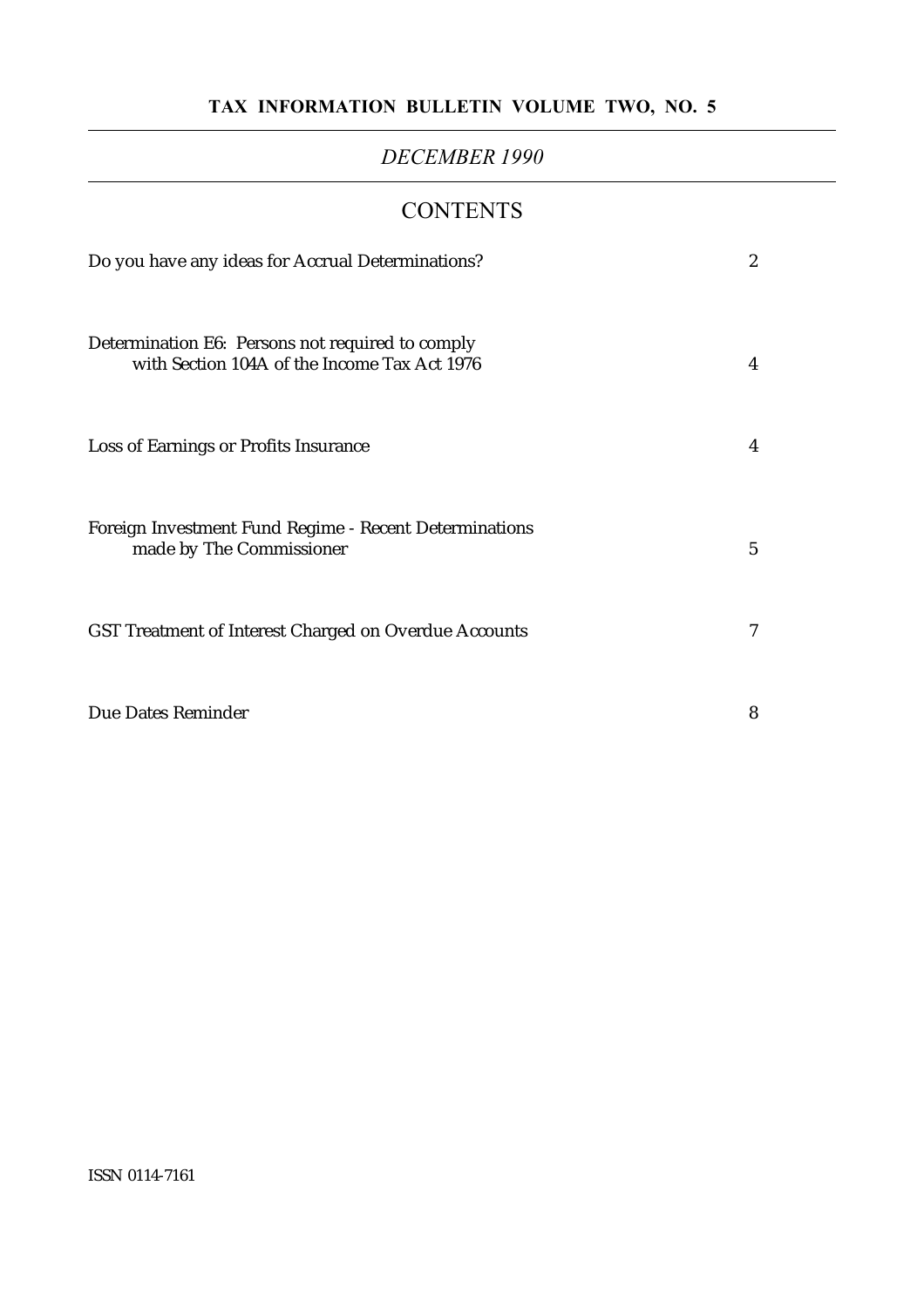#### TAX INFORMATION BULLETIN VOLUME TWO, NO. 5

#### DECEMBER 1990

#### **CONTENTS**

| Do you have any ideas for Accrual Determinations?                                                | $\boldsymbol{2}$ |
|--------------------------------------------------------------------------------------------------|------------------|
| Determination E6: Persons not required to comply<br>with Section 104A of the Income Tax Act 1976 | 4                |
| Loss of Earnings or Profits Insurance                                                            | 4                |
| Foreign Investment Fund Regime - Recent Determinations<br>made by The Commissioner               | $5\overline{)}$  |
| GST Treatment of Interest Charged on Overdue Accounts                                            | 7                |
| Due Dates Reminder                                                                               | 8                |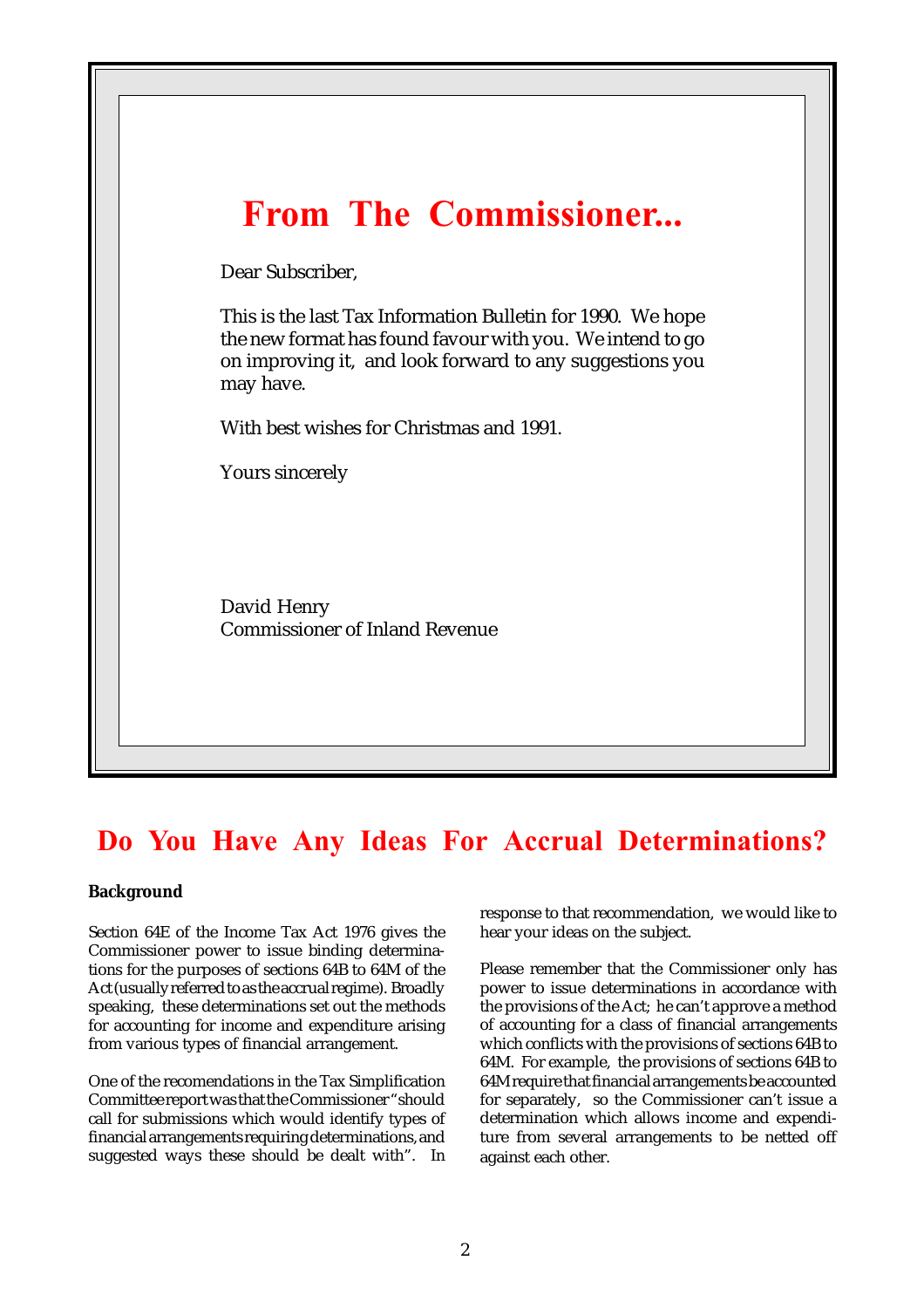

### Do You Have Any Ideas For Accrual Determinations?

#### **Background**

Section 64E of the Income Tax Act 1976 gives the Commissioner power to issue binding determinations for the purposes of sections 64B to 64M of the Act (usually referred to as the accrual regime). Broadly speaking, these determinations set out the methods for accounting for income and expenditure arising from various types of financial arrangement.

One of the recomendations in the Tax Simplification Committee report was that the Commissioner "should call for submissions which would identify types of financial arrangements requiring determinations, and suggested ways these should be dealt with". In response to that recommendation, we would like to hear your ideas on the subject.

Please remember that the Commissioner only has power to issue determinations in accordance with the provisions of the Act; he can't approve a method of accounting for a class of financial arrangements which conflicts with the provisions of sections 64B to 64M. For example, the provisions of sections 64B to 64M require that financial arrangements be accounted for separately, so the Commissioner can't issue a determination which allows income and expenditure from several arrangements to be netted off against each other.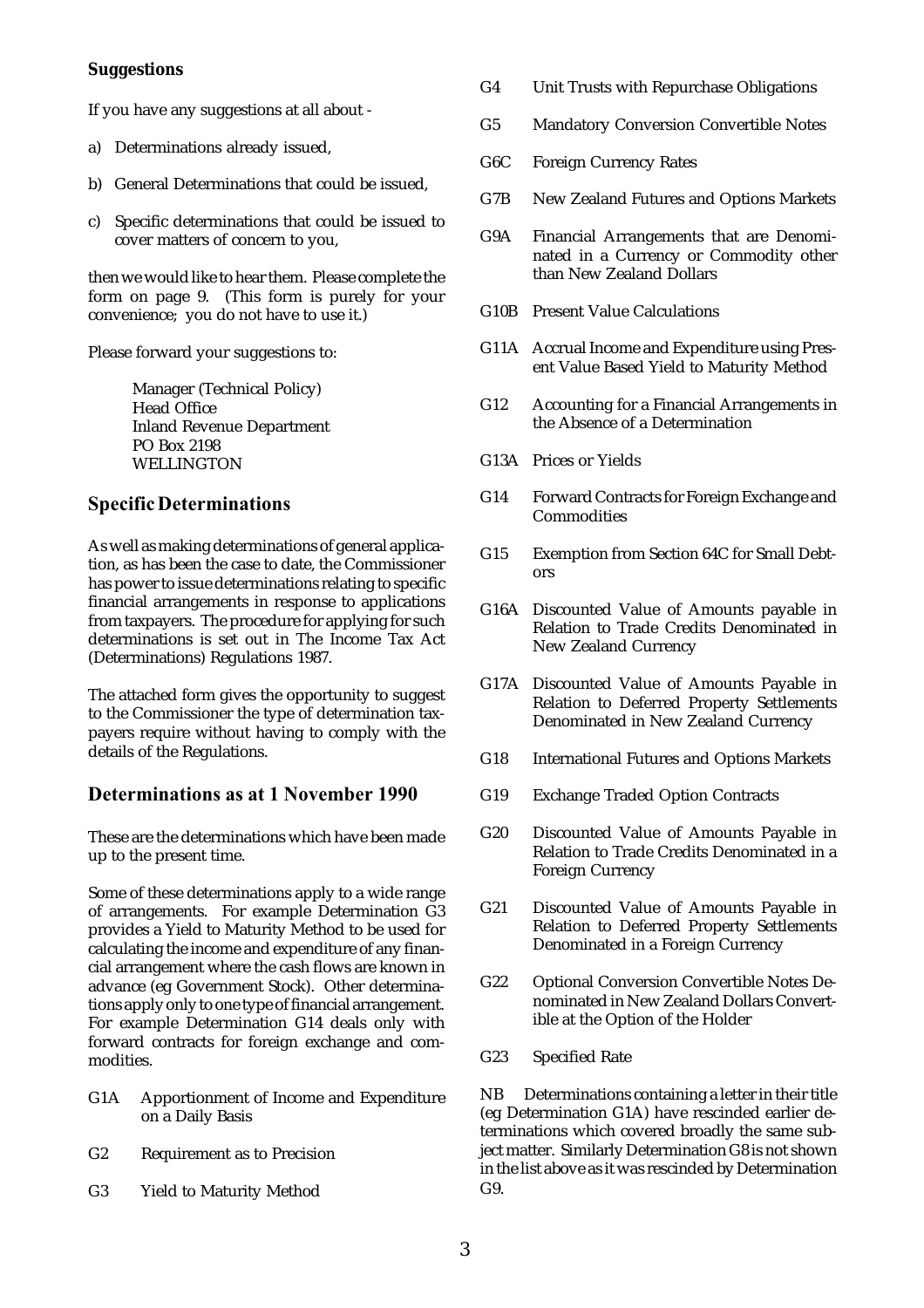#### **Suggestions**

If you have any suggestions at all about -

- a) Determinations already issued,
- b) General Determinations that could be issued,
- c) Specific determinations that could be issued to cover matters of concern to you,

then we would like to hear them. Please complete the form on page 9. (This form is purely for your convenience; you do not have to use it.)

Please forward your suggestions to:

Manager (Technical Policy) Head Office Inland Revenue Department PO Box 2198 WELLINGTON

#### Specific Determinations

As well as making determinations of general application, as has been the case to date, the Commissioner has power to issue determinations relating to specific financial arrangements in response to applications from taxpayers. The procedure for applying for such determinations is set out in The Income Tax Act (Determinations) Regulations 1987.

The attached form gives the opportunity to suggest to the Commissioner the type of determination taxpayers require without having to comply with the details of the Regulations.

#### Determinations as at 1 November 1990

These are the determinations which have been made up to the present time.

Some of these determinations apply to a wide range of arrangements. For example Determination G3 provides a Yield to Maturity Method to be used for calculating the income and expenditure of any financial arrangement where the cash flows are known in advance (eg Government Stock). Other determinations apply only to one type of financial arrangement. For example Determination G14 deals only with forward contracts for foreign exchange and commodities.

- G1A Apportionment of Income and Expenditure on a Daily Basis
- G2 Requirement as to Precision
- G3 Yield to Maturity Method
- G4 Unit Trusts with Repurchase Obligations
- G5 Mandatory Conversion Convertible Notes
- G6C Foreign Currency Rates
- G7B New Zealand Futures and Options Markets
- G9A Financial Arrangements that are Denominated in a Currency or Commodity other than New Zealand Dollars
- G10B Present Value Calculations
- G11A Accrual Income and Expenditure using Present Value Based Yield to Maturity Method
- G12 Accounting for a Financial Arrangements in the Absence of a Determination
- G13A Prices or Yields
- G14 Forward Contracts for Foreign Exchange and **Commodities**
- G15 Exemption from Section 64C for Small Debtors
- G16A Discounted Value of Amounts payable in Relation to Trade Credits Denominated in New Zealand Currency
- G17A Discounted Value of Amounts Payable in Relation to Deferred Property Settlements Denominated in New Zealand Currency
- G18 International Futures and Options Markets
- G19 Exchange Traded Option Contracts
- G20 Discounted Value of Amounts Payable in Relation to Trade Credits Denominated in a Foreign Currency
- G21 Discounted Value of Amounts Payable in Relation to Deferred Property Settlements Denominated in a Foreign Currency
- G22 Optional Conversion Convertible Notes Denominated in New Zealand Dollars Convertible at the Option of the Holder
- G23 Specified Rate

NB Determinations containing a letter in their title (eg Determination G1A) have rescinded earlier determinations which covered broadly the same subject matter. Similarly Determination G8 is not shown in the list above as it was rescinded by Determination G9.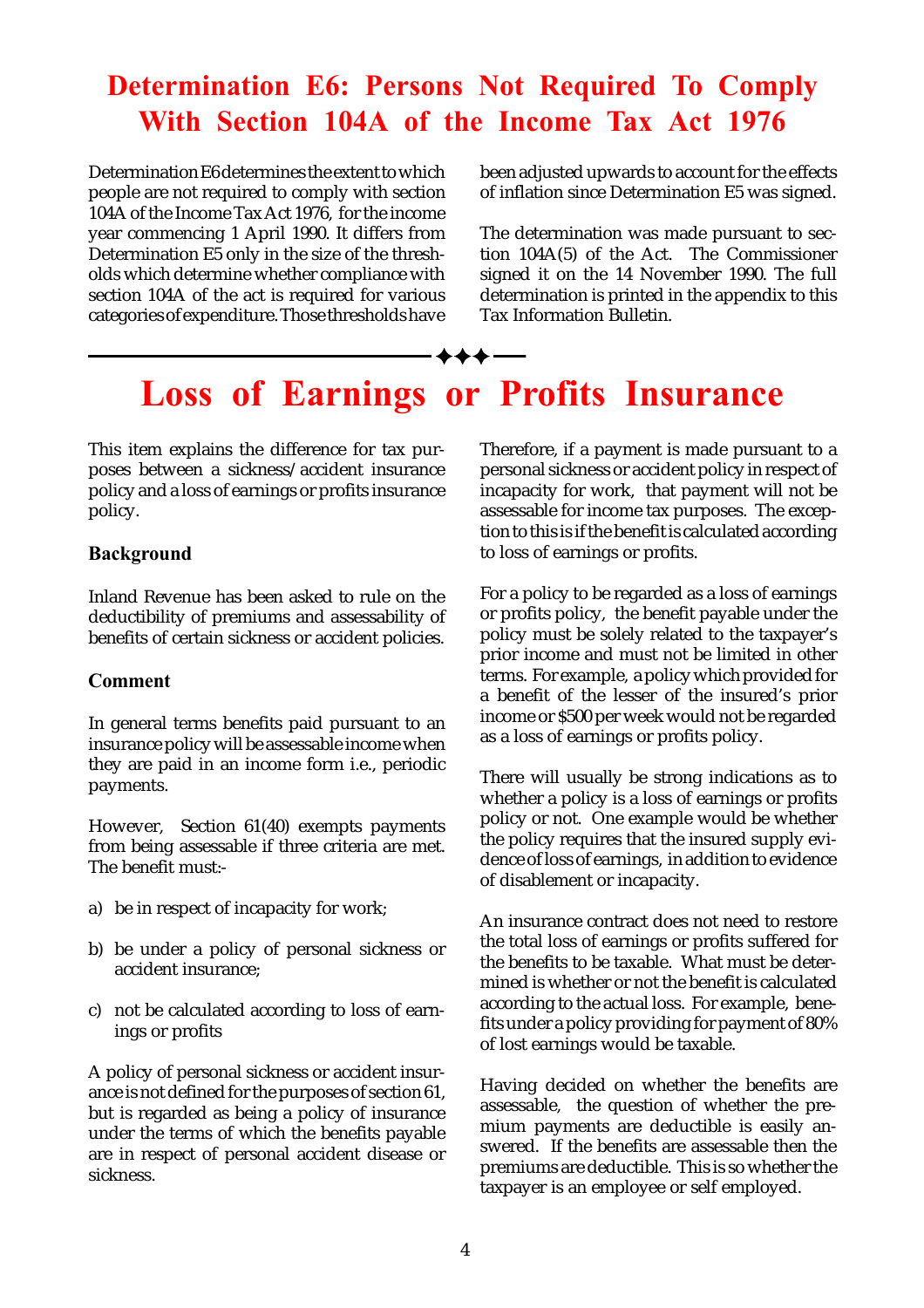## Determination E6: Persons Not Required To Comply With Section 104A of the Income Tax Act 1976

Determination E6 determines the extent to which people are not required to comply with section 104A of the Income Tax Act 1976, for the income year commencing 1 April 1990. It differs from Determination E<sub>2</sub> only in the size of the thresholds which determine whether compliance with section 104A of the act is required for various categories of expenditure. Those thresholds have

been adjusted upwards to account for the effects of inflation since Determination E5 was signed.

The determination was made pursuant to section 104A(5) of the Act. The Commissioner signed it on the 14 November 1990. The full determination is printed in the appendix to this Tax Information Bulletin.

# Loss of Earnings or Profits Insurance

 $- + + + -$ 

This item explains the difference for tax purposes between a sickness/accident insurance policy and a loss of earnings or profits insurance policy.

#### Background

Inland Revenue has been asked to rule on the deductibility of premiums and assessability of benefits of certain sickness or accident policies.

#### Comment

In general terms benefits paid pursuant to an insurance policy will be assessable income when they are paid in an income form i.e., periodic payments.

However, Section 61(40) exempts payments from being assessable if three criteria are met. The benefit must:-

- a) be in respect of incapacity for work;
- b) be under a policy of personal sickness or accident insurance;
- c) not be calculated according to loss of earnings or profits

A policy of personal sickness or accident insurance is not defined for the purposes of section 61, but is regarded as being a policy of insurance under the terms of which the benefits payable are in respect of personal accident disease or sickness.

Therefore, if a payment is made pursuant to a personal sickness or accident policy in respect of incapacity for work, that payment will not be assessable for income tax purposes. The exception to this is if the benefit is calculated according to loss of earnings or profits.

For a policy to be regarded as a loss of earnings or profits policy, the benefit payable under the policy must be solely related to the taxpayer's prior income and must not be limited in other terms. For example, a policy which provided for a benefit of the lesser of the insured's prior income or \$500 per week would not be regarded as a loss of earnings or profits policy.

There will usually be strong indications as to whether a policy is a loss of earnings or profits policy or not. One example would be whether the policy requires that the insured supply evidence of loss of earnings, in addition to evidence of disablement or incapacity.

An insurance contract does not need to restore the total loss of earnings or profits suffered for the benefits to be taxable. What must be determined is whether or not the benefit is calculated according to the actual loss. For example, benefits under a policy providing for payment of 80% of lost earnings would be taxable.

Having decided on whether the benefits are assessable, the question of whether the premium payments are deductible is easily answered. If the benefits are assessable then the premiums are deductible. This is so whether the taxpayer is an employee or self employed.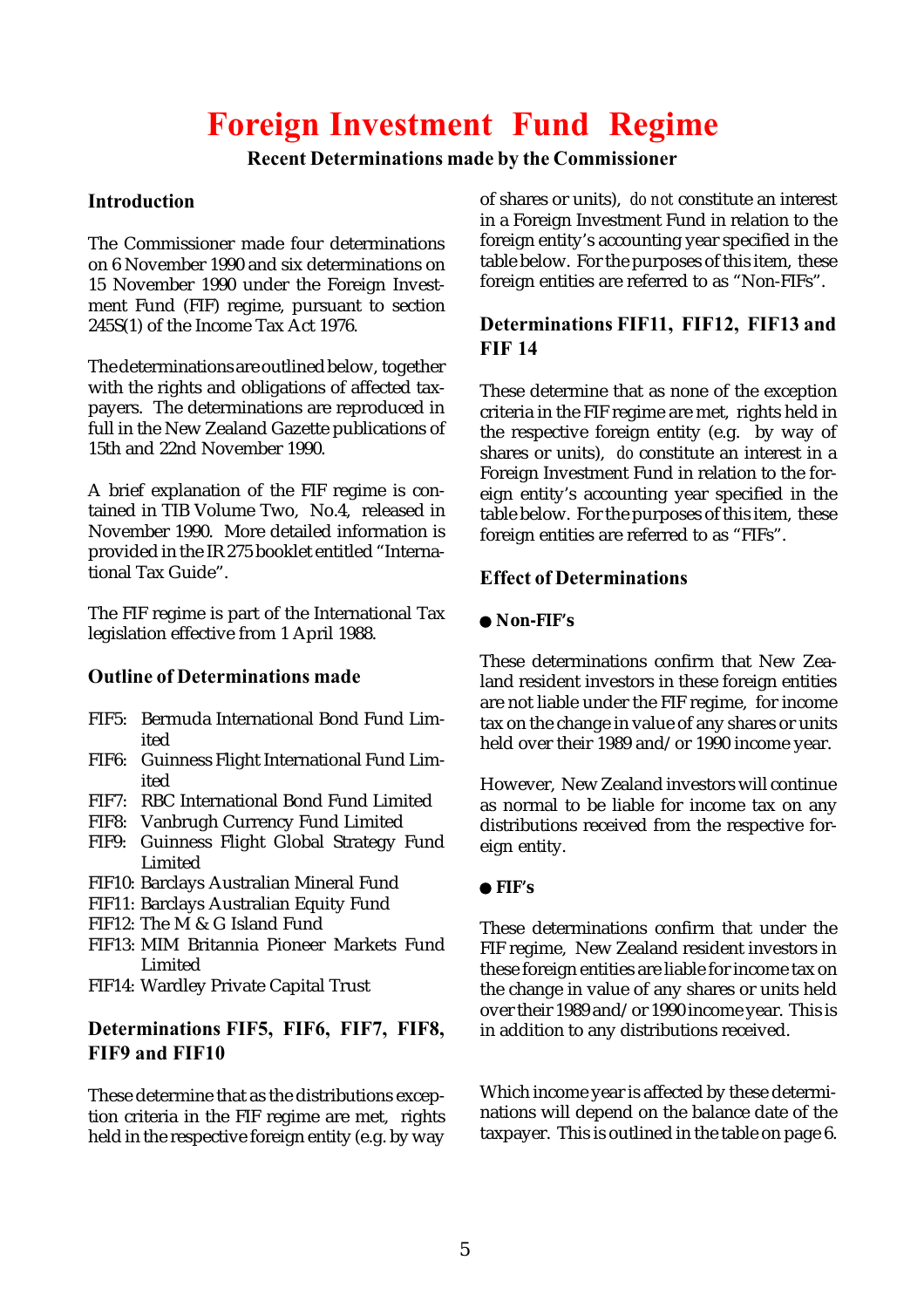# Foreign Investment Fund Regime

#### Recent Determinations made by the Commissioner

#### **Introduction**

The Commissioner made four determinations on 6 November 1990 and six determinations on 15 November 1990 under the Foreign Investment Fund (FIF) regime, pursuant to section 245S(1) of the Income Tax Act 1976.

The determinations are outlined below, together with the rights and obligations of affected taxpayers. The determinations are reproduced in full in the New Zealand Gazette publications of 15th and 22nd November 1990.

A brief explanation of the FIF regime is contained in TIB Volume Two, No.4, released in November 1990. More detailed information is provided in the IR 275 booklet entitled "International Tax Guide".

The FIF regime is part of the International Tax legislation effective from 1 April 1988.

#### Outline of Determinations made

- FIF5: Bermuda International Bond Fund Limited
- FIF6: Guinness Flight International Fund Limited
- FIF7: RBC International Bond Fund Limited
- FIF8: Vanbrugh Currency Fund Limited
- FIF9: Guinness Flight Global Strategy Fund Limited
- FIF10: Barclays Australian Mineral Fund
- FIF11: Barclays Australian Equity Fund
- FIF12: The M & G Island Fund
- FIF13: MIM Britannia Pioneer Markets Fund Limited
- FIF14: Wardley Private Capital Trust

#### Determinations FIF5, FIF6, FIF7, FIF8, FIF9 and FIF10

These determine that as the distributions exception criteria in the FIF regime are met, rights held in the respective foreign entity (e.g. by way

of shares or units), *do not* constitute an interest in a Foreign Investment Fund in relation to the foreign entity's accounting year specified in the table below. For the purposes of this item, these foreign entities are referred to as "Non-FIFs".

#### Determinations FIF11, FIF12, FIF13 and FIF 14

These determine that as none of the exception criteria in the FIF regime are met, rights held in the respective foreign entity (e.g. by way of shares or units), *do* constitute an interest in a Foreign Investment Fund in relation to the foreign entity's accounting year specified in the table below. For the purposes of this item, these foreign entities are referred to as "FIFs".

#### Effect of Determinations

#### **Non-FIF's**

These determinations confirm that New Zealand resident investors in these foreign entities are not liable under the FIF regime, for income tax on the change in value of any shares or units held over their 1989 and/or 1990 income year.

However, New Zealand investors will continue as normal to be liable for income tax on any distributions received from the respective foreign entity.

#### **FIF's**

These determinations confirm that under the FIF regime, New Zealand resident investors in these foreign entities are liable for income tax on the change in value of any shares or units held over their 1989 and/or 1990 income year. This is in addition to any distributions received.

Which income year is affected by these determinations will depend on the balance date of the taxpayer. This is outlined in the table on page 6.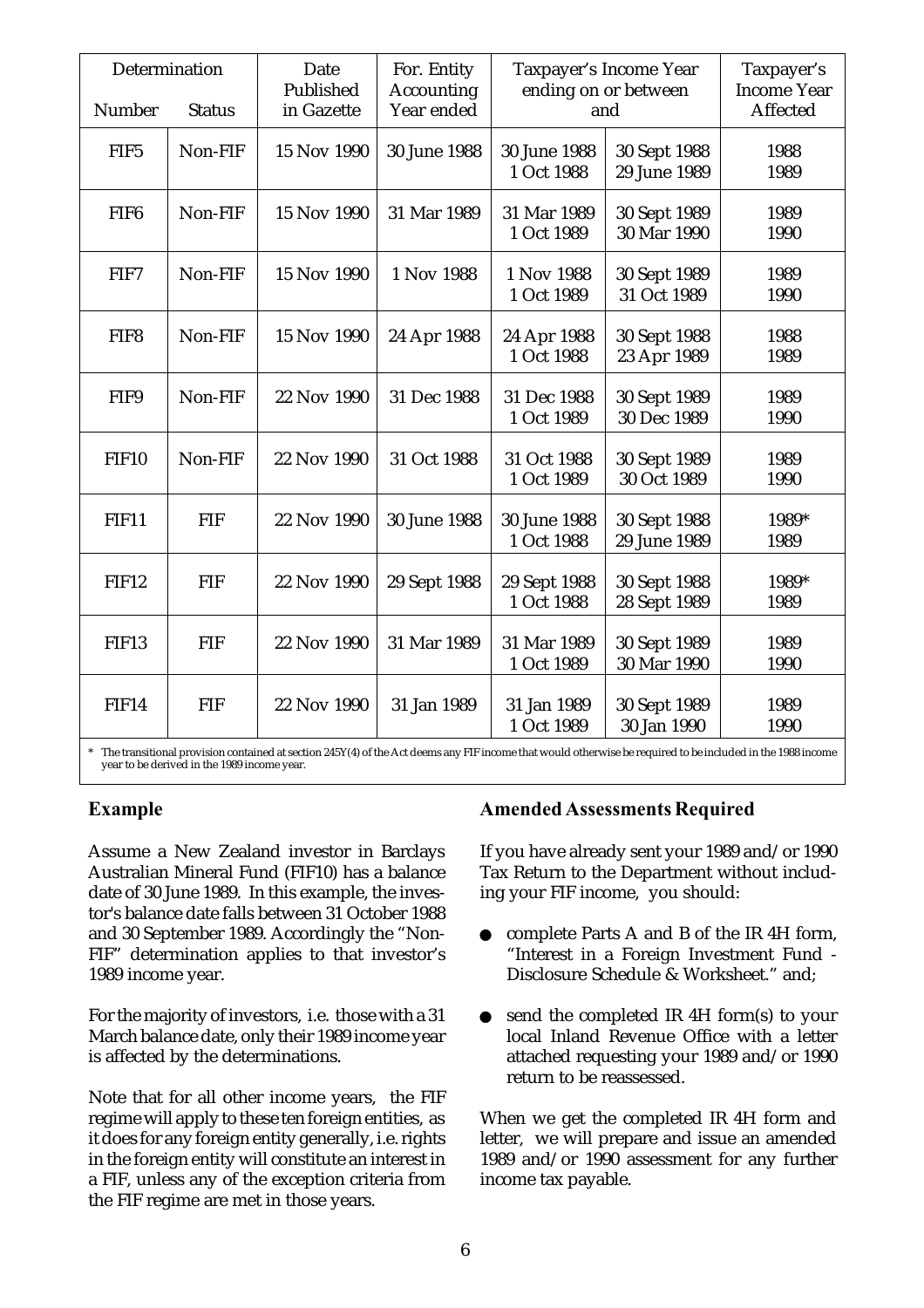| Determination<br>Number<br><b>Status</b> |            | Date<br>Published<br>in Gazette | For. Entity<br><b>Accounting</b><br>Year ended | Taxpayer's Income Year<br>ending on or between<br>and |                              | Taxpayer's<br><b>Income Year</b><br>Affected |
|------------------------------------------|------------|---------------------------------|------------------------------------------------|-------------------------------------------------------|------------------------------|----------------------------------------------|
| FIF5                                     | Non-FIF    | 15 Nov 1990                     | 30 June 1988                                   | 30 June 1988<br>1 Oct 1988                            | 30 Sept 1988<br>29 June 1989 | 1988<br>1989                                 |
| FIF <sub>6</sub>                         | Non-FIF    | 15 Nov 1990                     | 31 Mar 1989                                    | 31 Mar 1989<br>1 Oct 1989                             | 30 Sept 1989<br>30 Mar 1990  | 1989<br>1990                                 |
| FIF7                                     | Non-FIF    | 15 Nov 1990                     | 1 Nov 1988                                     | 1 Nov 1988<br>1 Oct 1989                              | 30 Sept 1989<br>31 Oct 1989  | 1989<br>1990                                 |
| FIF8                                     | Non-FIF    | 15 Nov 1990                     | 24 Apr 1988                                    | 24 Apr 1988<br>1 Oct 1988                             | 30 Sept 1988<br>23 Apr 1989  | 1988<br>1989                                 |
| FIF9                                     | Non-FIF    | 22 Nov 1990                     | 31 Dec 1988                                    | 31 Dec 1988<br>1 Oct 1989                             | 30 Sept 1989<br>30 Dec 1989  | 1989<br>1990                                 |
| <b>FIF10</b>                             | Non-FIF    | 22 Nov 1990                     | 31 Oct 1988                                    | 31 Oct 1988<br>1 Oct 1989                             | 30 Sept 1989<br>30 Oct 1989  | 1989<br>1990                                 |
| <b>FIF11</b>                             | <b>FIF</b> | 22 Nov 1990                     | 30 June 1988                                   | 30 June 1988<br>1 Oct 1988                            | 30 Sept 1988<br>29 June 1989 | 1989*<br>1989                                |
| FIF12                                    | <b>FIF</b> | 22 Nov 1990                     | 29 Sept 1988                                   | 29 Sept 1988<br>1 Oct 1988                            | 30 Sept 1988<br>28 Sept 1989 | 1989*<br>1989                                |
| <b>FIF13</b>                             | <b>FIF</b> | 22 Nov 1990                     | 31 Mar 1989                                    | 31 Mar 1989<br>1 Oct 1989                             | 30 Sept 1989<br>30 Mar 1990  | 1989<br>1990                                 |
| <b>FIF14</b>                             | <b>FIF</b> | 22 Nov 1990                     | 31 Jan 1989                                    | 31 Jan 1989<br>1 Oct 1989                             | 30 Sept 1989<br>30 Jan 1990  | 1989<br>1990                                 |

\* The transitional provision contained at section 245Y(4) of the Act deems any FIF income that would otherwise be required to be included in the 1988 income year to be derived in the 1989 income year.

#### Example

Assume a New Zealand investor in Barclays Australian Mineral Fund (FIF10) has a balance date of 30 June 1989. In this example, the investor's balance date falls between 31 October 1988 and 30 September 1989. Accordingly the "Non-FIF" determination applies to that investor's 1989 income year.

For the majority of investors, i.e. those with a 31 March balance date, only their 1989 income year is affected by the determinations.

Note that for all other income years, the FIF regime will apply to these ten foreign entities, as it does for any foreign entity generally, i.e. rights in the foreign entity will constitute an interest in a FIF, unless any of the exception criteria from the FIF regime are met in those years.

#### Amended Assessments Required

If you have already sent your 1989 and/or 1990 Tax Return to the Department without including your FIF income, you should:

- complete Parts A and B of the IR 4H form,  $\bullet$ "Interest in a Foreign Investment Fund - Disclosure Schedule & Worksheet." and;
- send the completed IR 4H form(s) to your local Inland Revenue Office with a letter attached requesting your 1989 and/or 1990 return to be reassessed.

When we get the completed IR 4H form and letter, we will prepare and issue an amended 1989 and/or 1990 assessment for any further income tax payable.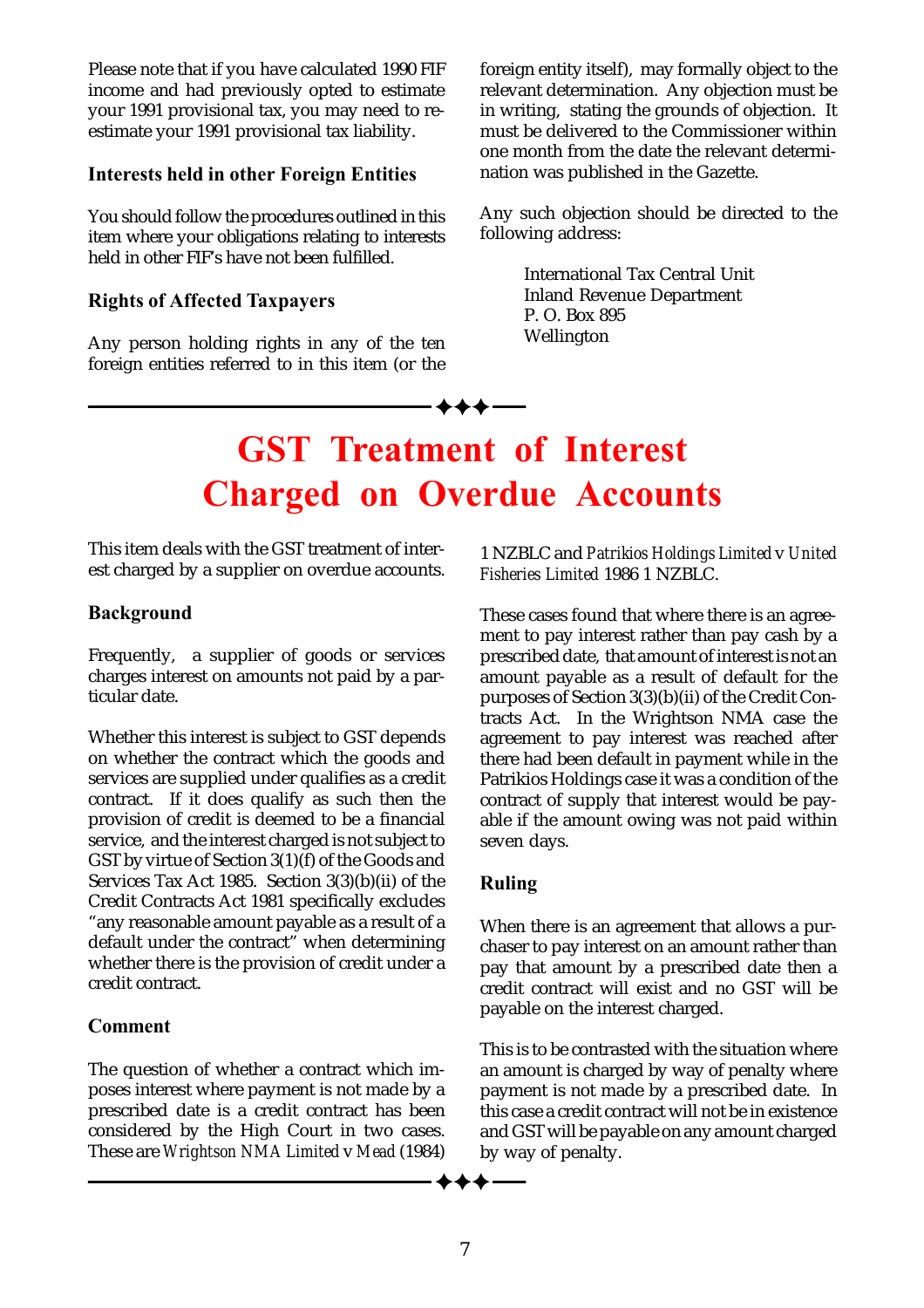Please note that if you have calculated 1990 FIF income and had previously opted to estimate your 1991 provisional tax, you may need to reestimate your 1991 provisional tax liability.

#### Interests held in other Foreign Entities

You should follow the procedures outlined in this item where your obligations relating to interests held in other FIF's have not been fulfilled.

#### Rights of Affected Taxpayers

Any person holding rights in any of the ten foreign entities referred to in this item (or the

foreign entity itself), may formally object to the relevant determination. Any objection must be in writing, stating the grounds of objection. It must be delivered to the Commissioner within one month from the date the relevant determination was published in the Gazette.

Any such objection should be directed to the following address:

> International Tax Central Unit Inland Revenue Department P. O. Box 895 Wellington

# GST Treatment of Interest Charged on Overdue Accounts

This item deals with the GST treatment of interest charged by a supplier on overdue accounts.

#### Background

Frequently, a supplier of goods or services charges interest on amounts not paid by a particular date.

Whether this interest is subject to GST depends on whether the contract which the goods and services are supplied under qualifies as a credit contract. If it does qualify as such then the provision of credit is deemed to be a financial service, and the interest charged is not subject to GST by virtue of Section 3(1)(f) of the Goods and Services Tax Act 1985. Section 3(3)(b)(ii) of the Credit Contracts Act 1981 specifically excludes "any reasonable amount payable as a result of a default under the contract" when determining whether there is the provision of credit under a credit contract.

#### Comment

The question of whether a contract which imposes interest where payment is not made by a prescribed date is a credit contract has been considered by the High Court in two cases. These are *Wrightson NMA Limited* v *Mead* (1984)

1 NZBLC and *Patrikios Holdings Limited* v *United Fisheries Limited* 1986 1 NZBLC.

These cases found that where there is an agreement to pay interest rather than pay cash by a prescribed date, that amount of interest is not an amount payable as a result of default for the purposes of Section 3(3)(b)(ii) of the Credit Contracts Act. In the Wrightson NMA case the agreement to pay interest was reached after there had been default in payment while in the Patrikios Holdings case it was a condition of the contract of supply that interest would be payable if the amount owing was not paid within seven days.

#### Ruling

When there is an agreement that allows a purchaser to pay interest on an amount rather than pay that amount by a prescribed date then a credit contract will exist and no GST will be payable on the interest charged.

This is to be contrasted with the situation where an amount is charged by way of penalty where payment is not made by a prescribed date. In this case a credit contract will not be in existence and GST will be payable on any amount charged by way of penalty.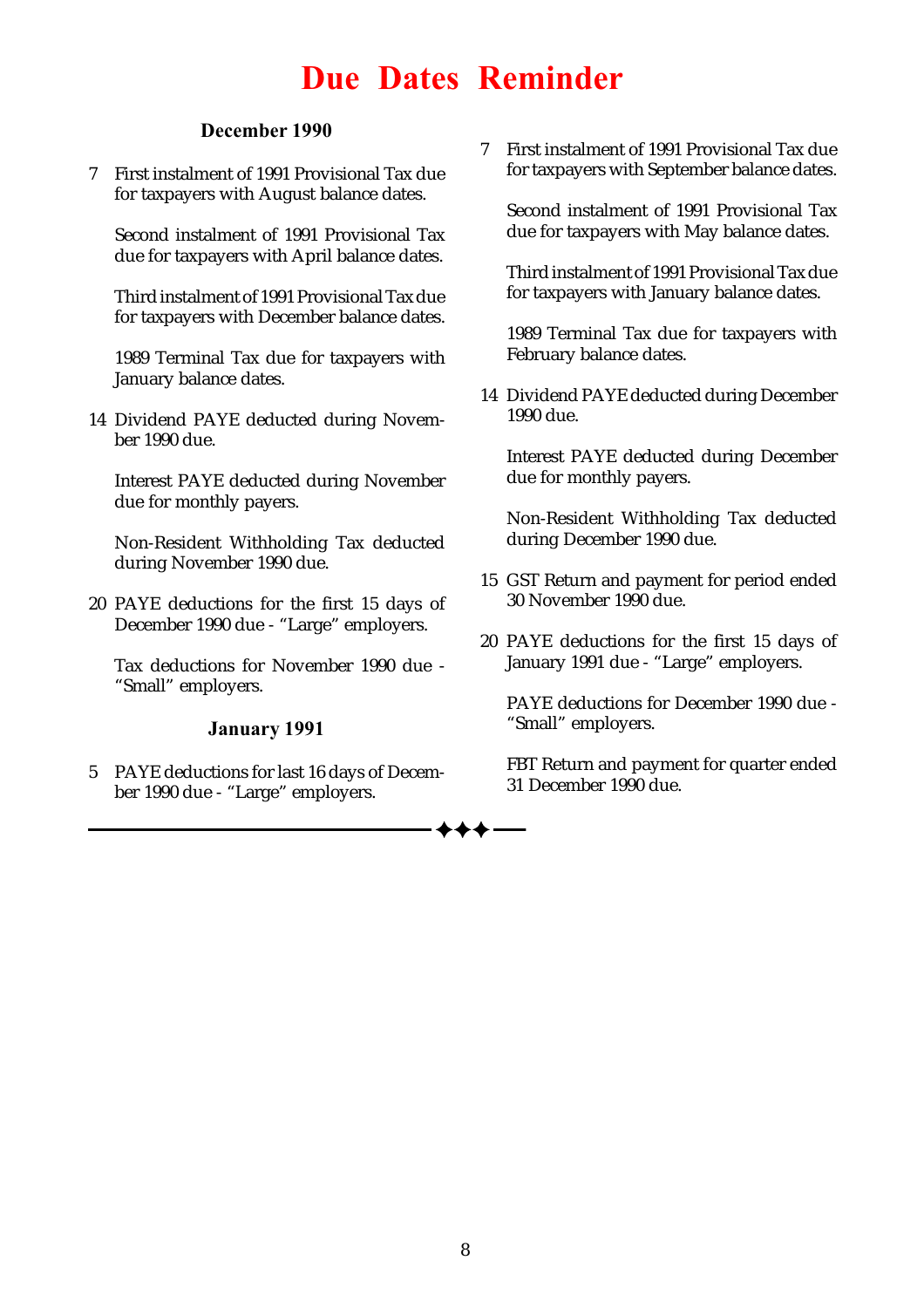# Due Dates Reminder

#### December 1990

7 First instalment of 1991 Provisional Tax due for taxpayers with August balance dates.

Second instalment of 1991 Provisional Tax due for taxpayers with April balance dates.

Third instalment of 1991 Provisional Tax due for taxpayers with December balance dates.

1989 Terminal Tax due for taxpayers with January balance dates.

14 Dividend PAYE deducted during November 1990 due.

Interest PAYE deducted during November due for monthly payers.

Non-Resident Withholding Tax deducted during November 1990 due.

20 PAYE deductions for the first 15 days of December 1990 due - "Large" employers.

Tax deductions for November 1990 due - "Small" employers.

#### January 1991

5 PAYE deductions for last 16 days of December 1990 due - "Large" employers.

7 First instalment of 1991 Provisional Tax due for taxpayers with September balance dates.

Second instalment of 1991 Provisional Tax due for taxpayers with May balance dates.

Third instalment of 1991 Provisional Tax due for taxpayers with January balance dates.

1989 Terminal Tax due for taxpayers with February balance dates.

14 Dividend PAYE deducted during December 1990 due.

Interest PAYE deducted during December due for monthly payers.

Non-Resident Withholding Tax deducted during December 1990 due.

- 15 GST Return and payment for period ended 30 November 1990 due.
- 20 PAYE deductions for the first 15 days of January 1991 due - "Large" employers.

PAYE deductions for December 1990 due - "Small" employers.

FBT Return and payment for quarter ended 31 December 1990 due.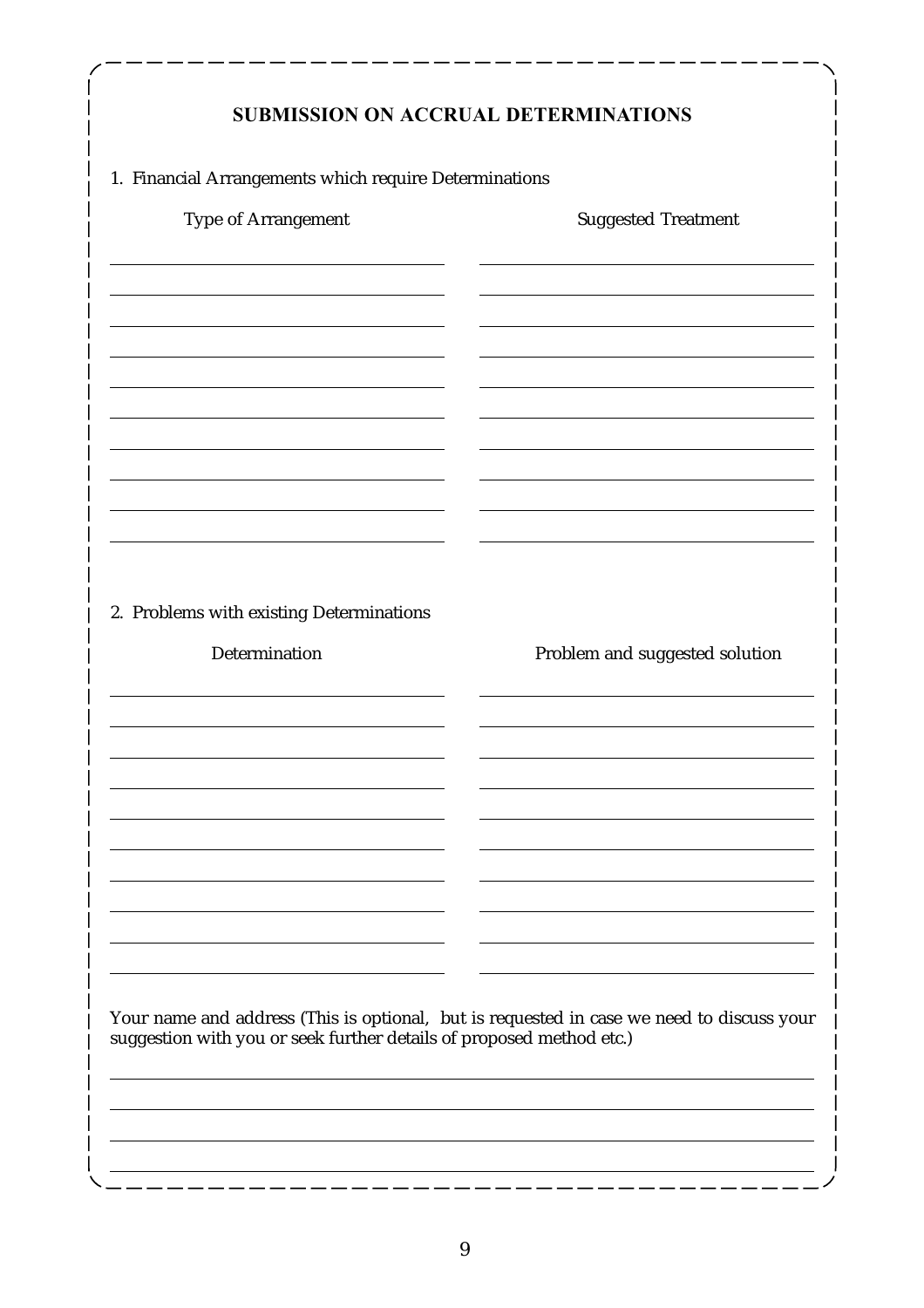| <b>SUBMISSION ON ACCRUAL DETERMINATIONS</b>                                                                                                                       |                                |  |  |  |  |  |
|-------------------------------------------------------------------------------------------------------------------------------------------------------------------|--------------------------------|--|--|--|--|--|
| 1. Financial Arrangements which require Determinations                                                                                                            |                                |  |  |  |  |  |
| Type of Arrangement                                                                                                                                               | <b>Suggested Treatment</b>     |  |  |  |  |  |
|                                                                                                                                                                   |                                |  |  |  |  |  |
|                                                                                                                                                                   |                                |  |  |  |  |  |
|                                                                                                                                                                   |                                |  |  |  |  |  |
|                                                                                                                                                                   |                                |  |  |  |  |  |
|                                                                                                                                                                   |                                |  |  |  |  |  |
|                                                                                                                                                                   |                                |  |  |  |  |  |
|                                                                                                                                                                   |                                |  |  |  |  |  |
|                                                                                                                                                                   |                                |  |  |  |  |  |
| 2. Problems with existing Determinations                                                                                                                          |                                |  |  |  |  |  |
| Determination                                                                                                                                                     | Problem and suggested solution |  |  |  |  |  |
|                                                                                                                                                                   |                                |  |  |  |  |  |
|                                                                                                                                                                   |                                |  |  |  |  |  |
|                                                                                                                                                                   |                                |  |  |  |  |  |
|                                                                                                                                                                   |                                |  |  |  |  |  |
|                                                                                                                                                                   |                                |  |  |  |  |  |
|                                                                                                                                                                   |                                |  |  |  |  |  |
|                                                                                                                                                                   |                                |  |  |  |  |  |
| Your name and address (This is optional, but is requested in case we need to discuss your<br>suggestion with you or seek further details of proposed method etc.) |                                |  |  |  |  |  |
|                                                                                                                                                                   |                                |  |  |  |  |  |
|                                                                                                                                                                   |                                |  |  |  |  |  |